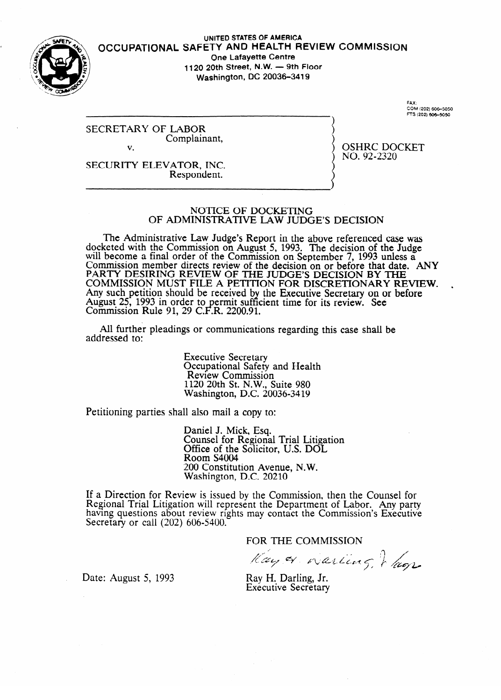

### **UNITED STATES OF AMERICA OCCUPATIONAL SAFETY** AND HEALTH **REVIEW COMMISSION One Lafayette Centre** 1120 20th Street, N.W. - 9th Floor **Washington, DC 20036-3419**

FAX:<br>COM (202) 606–5050<br>FTS (202) 606–5050

SECRETARY OF LABOR Complainant, v.

OSHRC DOCKET NO. **92-2320** 

SECURITY ELEVATOR, INC. Respondent.

# NOTICE OF DOCKETING OF ADMINISTRATIVE LAW JUDGE'S DECISION

The Administrative Law Judge's Report in the above referenced case was docketed with the Commission on August 5, 1993. The decision of the Judge will become a final order of the Commission on September 7, 1993 unless a<br>Commission member directs review of the decision on or before that date Commission member directs review of the decision on or before that date. ANY I PARTY DESIRING REVIEW OF THE JUDGE'S DECISION BY THE COMMISSION MOST TILE A FETITION FOR DISCRETIONARY REVIEW. Any such petition should be received by the Executive Secretary on or before August 25, 1995 in order to<br>Commission Rule 91–29 C l  $\ddot{\phantom{0}}$ ermit sufficient time for its review. See<br>R. 2200.91. Commission Rule 91, 29 C. .R. 2200.91.

All further pleadings or communications regarding this case shall be addressed to: addressed to:

> Executive Secretary<br>Occupational Safety and Health Review Commission  $120$  20th St. N.W. Washington, D.C. 20036-3419  $\mathcal{O}$  ,  $\mathcal{O}$

 $\mathcal{P}_{\mathbf{r}}$ 

Daniel J. Mick, Esq. Office of the Solicitor, U.S. DOL Room S4004 200 Constitut Washington, D.C. 20210

Washington, D.C. 20210 Regional Trial Litigation will represent the Department of Labor. Any part having questions about review rights may contact the C Secretary or call  $(202)$  606-5400. mmission's Exe **Eutive** 

FOR THE COMMISSION

Kay & Warter /  $arctan \zeta$ ,  $\zeta$ 

Date: August 5, 1993

Ray H. Darling, Jr. Executive Secretary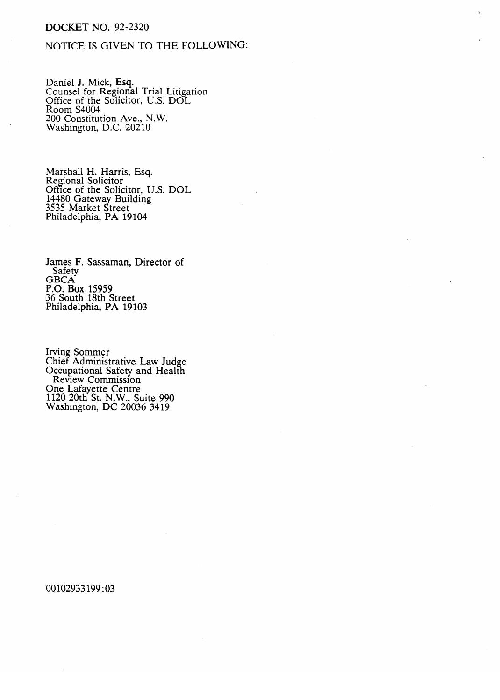## DOCKET NO. 92-2320

.

## NOTICE IS GIVEN TO THE FOLLOWING:

 $\mathbf{r}$ 

Daniel J. Mick, Esq.<br>Counsel for Pegiona Counsel for Regional Trial Litigation Office of the Solicitor, U.S. DOL ROOM S<del>TOOT</del><br>200 Constitut  $200$  Constitution *Ave.*, N.W. Washington, DC. 20210

Regional Solicitor  $\mathbb{R}$ Office of the Solio 14480 Gateway Building 3535 Market Street Philadelphia, PA 19 Philadelphia, PA 19104

James F. Sassaman, Director of Safety<br>GBCA  $\overline{C}$ P.O. B<br>26 S.O 30 SOUIN 18IN S<br>Philadelphia, B. Philadelphia, PA 19th

Cinci Adminis<br>Occupational Coupational Safety and Treath **One Lafavette Centre**  $120$  20th St. N.W. S Washington,  $\overline{DC}$  2003 1120 20th St. N.W., Suite 990

00102933199:03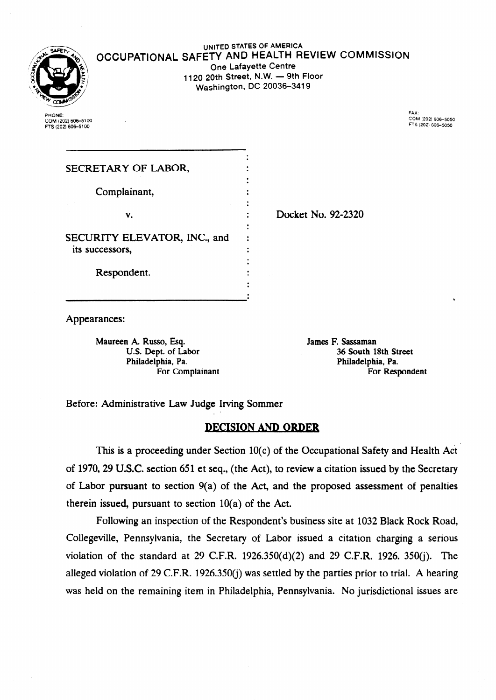

**UNITED STATES OF AMERICA OCCUPATIONAL SAFETY** AND HEALTH **REVIEW COMMISSION One Lafayette Centre**  1120 20th Street, N.W. - 9th Floor **Washington, DC 20036-3419** 

.

PHONE: **COM(202)606-5100 fTS(202) 60&5100**  **FAX: COM (20216~5050 mi (202) 606-5050** 

| SECRETARY OF LABOR,                             |  |
|-------------------------------------------------|--|
| Complainant,                                    |  |
| v.                                              |  |
|                                                 |  |
| SECURITY ELEVATOR, INC., and<br>its successors, |  |
| Respondent.                                     |  |
|                                                 |  |

. Docket No. 92-2320

Appearances:

Maureen A Russo, Esq. James F. Sassaman Philadelphia, Pa. Philadelphia, Pa.

U.S. Dept. of Labor 36 South 18th Street For Complainant For Respondent

Before: Administrative Law Judge Irving Sommer

# **DECISION AND ORDER**

This is a proceeding under Section 10(c) of the Occupational Safety and Health Act of 1970,29 U.S.C. section 651 et seq., (the Act), to review a citation issued by the Secretary of Labor pursuant to section 9(a) of the Act, and the proposed assessment of penalties therein issued, pursuant to section  $10(a)$  of the Act.

Following an inspection of the Respondent's business site at 1032 Black Rock Road, Collegeville, Pennsylvania, the Secretary of Labor issued a citation charging a serious violation of the standard at 29 C.F.R. 1926.350(d)(2) and 29 C.F.R. 1926. 350(j). The alleged violation of 29 C.F.R. 1926.350(j) was settled by the parties prior to trial. A hearing was held on the remaining item in Philadelphia, Pennsylvania. No jurisdictional issues are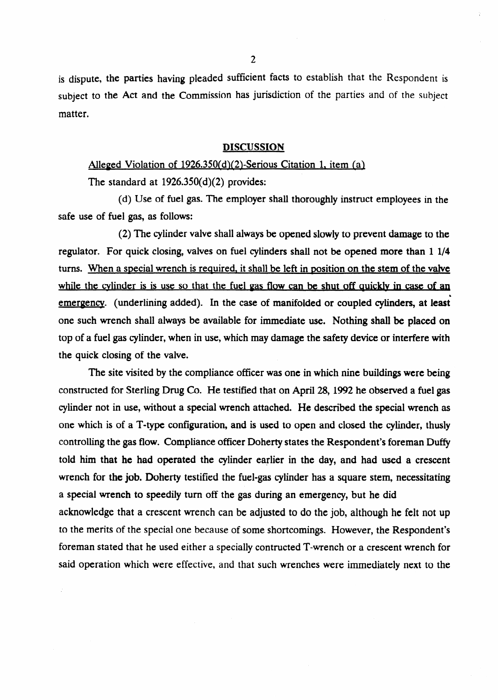is dispute, the parties having pleaded sufficient facts to establish that the Respondent is **subject** to the Act and the Commission has jurisdiction of the parties and of the subject matter.

#### DISCUSSION

# Alleged Violation of 1926.350(d)(2)-Serious Citation 1, item (al

The standard at 1926.350(d)(2) provides:

(d) Use of fuel gas. The employer shall thoroughly instruct employees in the safe use of fuel gas, as follows:

(2) The cylinder valve shall always be opened slowly to prevent damage to the regulator. For quick closing, valves on fuel cylinders **shall not** be opened more than 1 l/4 turns. When a special wrench is required, it shall be left in position on the stem of the valve while the cylinder is is use so that the fuel gas flow can be shut off quickly in case of an emergency. (underlining added). In the **case of manifolded or coupled cylinders, at least'**  one such wrench shall always be available for immediate use. Nothing shali be placed on top of a fuel gas cylinder, when in use, which may damage the safety device or interfere with the quick closing of the valve.

The site visited by the compliance officer was one in which nine buildings were being constructed for Sterling Drug Co. He testified that on April 28, 1992 he observed a fuel gas cylinder not in use, without a special wrench attached. He described the special wrench as one which is of a T-type configuration, and is used to open and closed the cylinder, thusly controlling the gas flow. Compliance officer Doherty states the Respondent's foreman Duffy told him that he had operated the cylinder earlier in the day, and had used a crescent wrench for the job. Doherty testified the fuel-gas cylinder has a square stem, necessitating a special wrench to speedily turn off the gas during an emergency, but he did acknowledge that a crescent wrench can be adjusted to do the job, although he felt not up to the merits of the special one because of some shortcomings. However, the Respondent's foreman stated that he used either a specially contructed T-wrench or a crescent wrench for said operation which were effective, and that such wrenches were immediately next to the